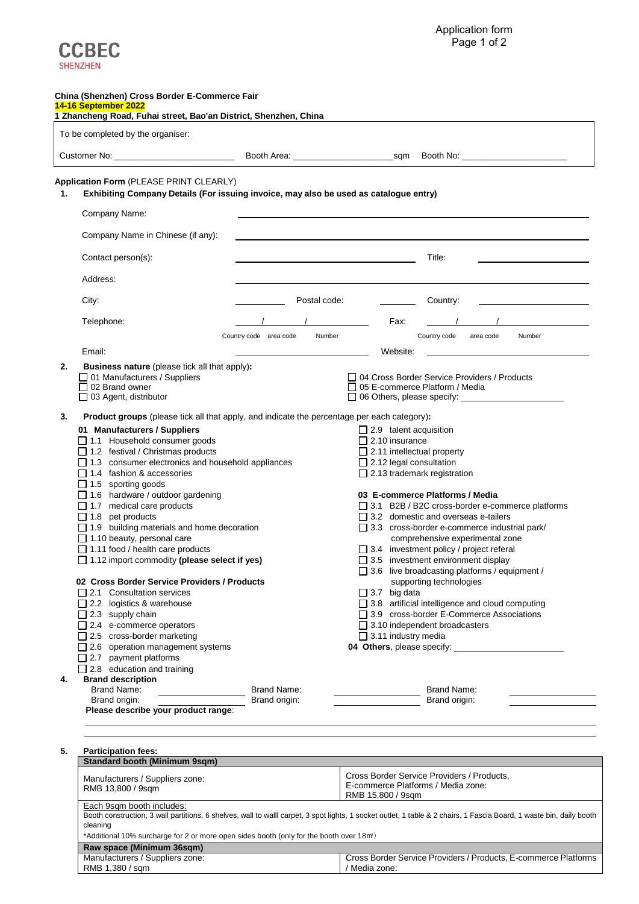

Cross Border Service Providers / Products, E-commerce Platforms

/ Media zone:

|    | To be completed by the organiser:                                                                  |                        |              |                                   |                                                                                                                                                                                                                                     |        |
|----|----------------------------------------------------------------------------------------------------|------------------------|--------------|-----------------------------------|-------------------------------------------------------------------------------------------------------------------------------------------------------------------------------------------------------------------------------------|--------|
|    |                                                                                                    |                        |              |                                   |                                                                                                                                                                                                                                     |        |
|    | Application Form (PLEASE PRINT CLEARLY)                                                            |                        |              |                                   |                                                                                                                                                                                                                                     |        |
| 1. | Exhibiting Company Details (For issuing invoice, may also be used as catalogue entry)              |                        |              |                                   |                                                                                                                                                                                                                                     |        |
|    |                                                                                                    |                        |              |                                   |                                                                                                                                                                                                                                     |        |
|    | Company Name:                                                                                      |                        |              |                                   |                                                                                                                                                                                                                                     |        |
|    | Company Name in Chinese (if any):                                                                  |                        |              |                                   |                                                                                                                                                                                                                                     |        |
|    | Contact person(s):                                                                                 |                        |              |                                   | Title:                                                                                                                                                                                                                              |        |
|    | Address:                                                                                           |                        |              |                                   |                                                                                                                                                                                                                                     |        |
|    | City:                                                                                              |                        | Postal code: | Country:                          |                                                                                                                                                                                                                                     |        |
|    |                                                                                                    |                        |              |                                   |                                                                                                                                                                                                                                     |        |
|    | Telephone:                                                                                         |                        |              | Fax:                              |                                                                                                                                                                                                                                     |        |
|    |                                                                                                    | Country code area code | Number       |                                   | Country code area code                                                                                                                                                                                                              | Number |
|    | Email:                                                                                             |                        |              | Website:                          |                                                                                                                                                                                                                                     |        |
| 2. | <b>Business nature</b> (please tick all that apply):                                               |                        |              |                                   |                                                                                                                                                                                                                                     |        |
|    | □ 01 Manufacturers / Suppliers<br>$\Box$ 02 Brand owner                                            |                        |              |                                   | □ 04 Cross Border Service Providers / Products<br>$\Box$ 05 E-commerce Platform / Media                                                                                                                                             |        |
|    | $\Box$ 03 Agent, distributor                                                                       |                        |              |                                   | □ 06 Others, please specify: <u>contract and a set of the set of the set of the set of the set of the set of the set of the set of the set of the set of the set of the set of the set of the set of the set of the set of the </u> |        |
| 3. | <b>Product groups</b> (please tick all that apply, and indicate the percentage per each category): |                        |              |                                   |                                                                                                                                                                                                                                     |        |
|    | 01 Manufacturers / Suppliers                                                                       |                        |              | $\Box$ 2.9 talent acquisition     |                                                                                                                                                                                                                                     |        |
|    | $\Box$ 1.1 Household consumer goods                                                                |                        |              | $\Box$ 2.10 insurance             |                                                                                                                                                                                                                                     |        |
|    | $\Box$ 1.2 festival / Christmas products                                                           |                        |              | $\Box$ 2.11 intellectual property |                                                                                                                                                                                                                                     |        |
|    | $\Box$ 1.3 consumer electronics and household appliances                                           |                        |              | $\Box$ 2.12 legal consultation    |                                                                                                                                                                                                                                     |        |
|    | $\Box$ 1.4 fashion & accessories                                                                   |                        |              |                                   | $\Box$ 2.13 trademark registration                                                                                                                                                                                                  |        |
|    | $\Box$ 1.5 sporting goods<br>□ 1.6 hardware / outdoor gardening                                    |                        |              |                                   | 03 E-commerce Platforms / Media                                                                                                                                                                                                     |        |
|    | $\Box$ 1.7 medical care products                                                                   |                        |              |                                   | □ 3.1 B2B / B2C cross-border e-commerce platforms                                                                                                                                                                                   |        |
|    | $\Box$ 1.8 pet products                                                                            |                        |              |                                   | $\Box$ 3.2 domestic and overseas e-tailers                                                                                                                                                                                          |        |
|    | $\Box$ 1.9 building materials and home decoration                                                  |                        |              |                                   | $\Box$ 3.3 cross-border e-commerce industrial park/                                                                                                                                                                                 |        |
|    | $\Box$ 1.10 beauty, personal care                                                                  |                        |              |                                   | comprehensive experimental zone                                                                                                                                                                                                     |        |
|    | $\Box$ 1.11 food / health care products                                                            |                        |              |                                   | $\Box$ 3.4 investment policy / project referal                                                                                                                                                                                      |        |
|    | □ 1.12 import commodity (please select if yes)                                                     |                        |              |                                   | $\Box$ 3.5 investment environment display                                                                                                                                                                                           |        |
|    | 02 Cross Border Service Providers / Products                                                       |                        |              |                                   | $\Box$ 3.6 live broadcasting platforms / equipment /<br>supporting technologies                                                                                                                                                     |        |
|    | $\Box$ 2.1 Consultation services                                                                   |                        |              | $\Box$ 3.7 big data               |                                                                                                                                                                                                                                     |        |
|    | $\Box$ 2.2 logistics & warehouse                                                                   |                        |              |                                   | $\Box$ 3.8 artificial intelligence and cloud computing                                                                                                                                                                              |        |
|    | $\Box$ 2.3 supply chain                                                                            |                        |              |                                   | $\Box$ 3.9 cross-border E-Commerce Associations                                                                                                                                                                                     |        |
|    | $\Box$ 2.4 e-commerce operators                                                                    |                        |              |                                   | $\Box$ 3.10 independent broadcasters                                                                                                                                                                                                |        |
|    | $\Box$ 2.5 cross-border marketing<br>$\Box$ 2.6 operation management systems                       |                        |              | $\Box$ 3.11 industry media        |                                                                                                                                                                                                                                     |        |
|    | $\Box$ 2.7 payment platforms                                                                       |                        |              |                                   |                                                                                                                                                                                                                                     |        |
|    | $\Box$ 2.8 education and training                                                                  |                        |              |                                   |                                                                                                                                                                                                                                     |        |
| 4. | <b>Brand description</b>                                                                           |                        |              |                                   |                                                                                                                                                                                                                                     |        |
|    | Brand Name:                                                                                        | Brand Name:            |              |                                   | Brand Name:                                                                                                                                                                                                                         |        |
|    | Brand origin:<br><b>Please describe your product range:</b> Brand origin:                          |                        |              |                                   | Brand origin:                                                                                                                                                                                                                       |        |
|    |                                                                                                    |                        |              |                                   |                                                                                                                                                                                                                                     |        |
|    |                                                                                                    |                        |              |                                   |                                                                                                                                                                                                                                     |        |
| 5. | <b>Participation fees:</b>                                                                         |                        |              |                                   |                                                                                                                                                                                                                                     |        |
|    | Standard booth (Minimum 9sqm)                                                                      |                        |              |                                   |                                                                                                                                                                                                                                     |        |
|    | Manufacturers / Suppliers zone:                                                                    |                        |              |                                   | Cross Border Service Providers / Products,                                                                                                                                                                                          |        |
|    | RMB 13,800 / 9sqm                                                                                  |                        |              |                                   | E-commerce Platforms / Media zone:                                                                                                                                                                                                  |        |

| *Additional 10% surcharge for 2 or more open sides booth (only for the booth over 18m <sup>2</sup> ) |  |
|------------------------------------------------------------------------------------------------------|--|
|                                                                                                      |  |

**Raw space (Minimum 36sqm)** Manufacturers / Suppliers zone:

RMB 1,380 / sqm